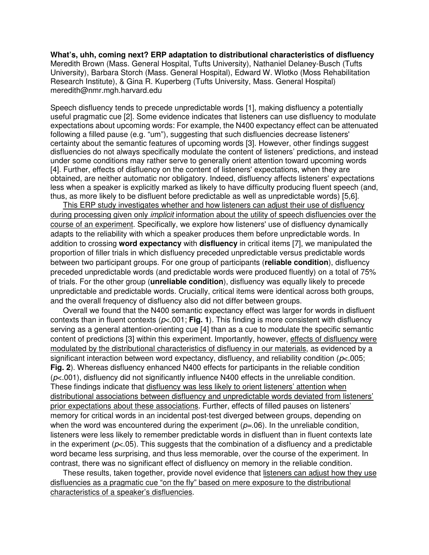**What's, uhh, coming next? ERP adaptation to distributional characteristics of disfluency**  Meredith Brown (Mass. General Hospital, Tufts University), Nathaniel Delaney-Busch (Tufts University), Barbara Storch (Mass. General Hospital), Edward W. Wlotko (Moss Rehabilitation Research Institute), & Gina R. Kuperberg (Tufts University, Mass. General Hospital) meredith@nmr.mgh.harvard.edu

Speech disfluency tends to precede unpredictable words [1], making disfluency a potentially useful pragmatic cue [2]. Some evidence indicates that listeners can use disfluency to modulate expectations about upcoming words: For example, the N400 expectancy effect can be attenuated following a filled pause (e.g. "um"), suggesting that such disfluencies decrease listeners' certainty about the semantic features of upcoming words [3]. However, other findings suggest disfluencies do not always specifically modulate the content of listeners' predictions, and instead under some conditions may rather serve to generally orient attention toward upcoming words [4]. Further, effects of disfluency on the content of listeners' expectations, when they are obtained, are neither automatic nor obligatory. Indeed, disfluency affects listeners' expectations less when a speaker is explicitly marked as likely to have difficulty producing fluent speech (and, thus, as more likely to be disfluent before predictable as well as unpredictable words) [5,6].

This ERP study investigates whether and how listeners can adjust their use of disfluency during processing given only *implicit* information about the utility of speech disfluencies over the course of an experiment. Specifically, we explore how listeners' use of disfluency dynamically adapts to the reliability with which a speaker produces them before unpredictable words. In addition to crossing **word expectancy** with **disfluency** in critical items [7], we manipulated the proportion of filler trials in which disfluency preceded unpredictable versus predictable words between two participant groups. For one group of participants (**reliable condition**), disfluency preceded unpredictable words (and predictable words were produced fluently) on a total of 75% of trials. For the other group (**unreliable condition**), disfluency was equally likely to precede unpredictable and predictable words. Crucially, critical items were identical across both groups, and the overall frequency of disfluency also did not differ between groups.

Overall we found that the N400 semantic expectancy effect was larger for words in disfluent contexts than in fluent contexts (p<.001; **Fig. 1**). This finding is more consistent with disfluency serving as a general attention-orienting cue [4] than as a cue to modulate the specific semantic content of predictions [3] within this experiment. Importantly, however, effects of disfluency were modulated by the distributional characteristics of disfluency in our materials, as evidenced by a significant interaction between word expectancy, disfluency, and reliability condition ( $p$ <.005; **Fig. 2**). Whereas disfluency enhanced N400 effects for participants in the reliable condition  $(p<.001)$ , disfluency did not significantly influence N400 effects in the unreliable condition. These findings indicate that disfluency was less likely to orient listeners' attention when distributional associations between disfluency and unpredictable words deviated from listeners' prior expectations about these associations. Further, effects of filled pauses on listeners' memory for critical words in an incidental post-test diverged between groups, depending on when the word was encountered during the experiment  $(p=.06)$ . In the unreliable condition, listeners were less likely to remember predictable words in disfluent than in fluent contexts late in the experiment ( $p<0.05$ ). This suggests that the combination of a disfluency and a predictable word became less surprising, and thus less memorable, over the course of the experiment. In contrast, there was no significant effect of disfluency on memory in the reliable condition.

These results, taken together, provide novel evidence that listeners can adjust how they use disfluencies as a pragmatic cue "on the fly" based on mere exposure to the distributional characteristics of a speaker's disfluencies.